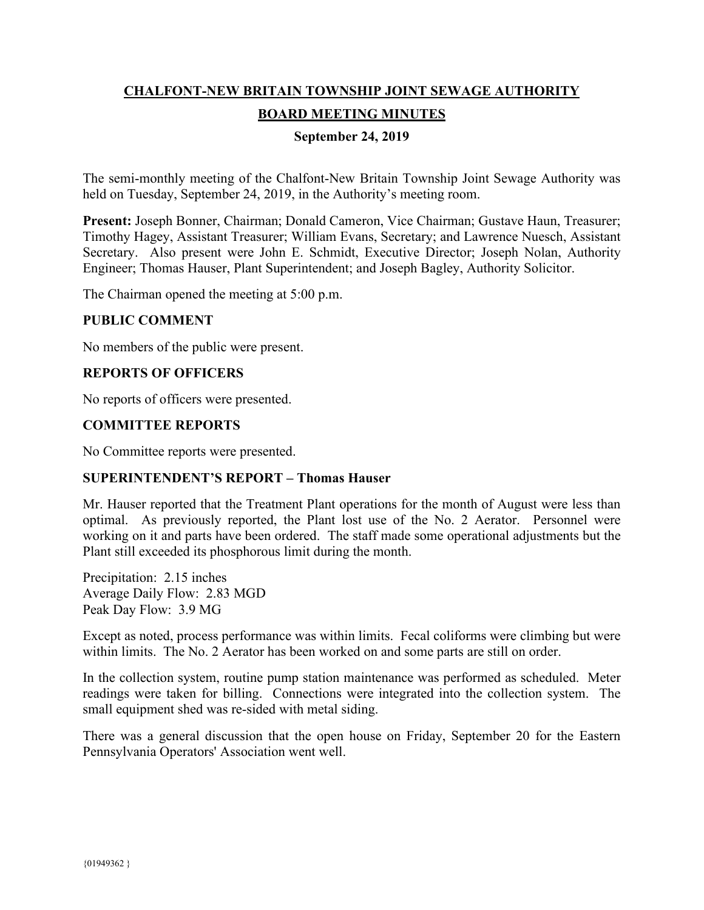# **CHALFONT-NEW BRITAIN TOWNSHIP JOINT SEWAGE AUTHORITY BOARD MEETING MINUTES**

## **September 24, 2019**

The semi-monthly meeting of the Chalfont-New Britain Township Joint Sewage Authority was held on Tuesday, September 24, 2019, in the Authority's meeting room.

**Present:** Joseph Bonner, Chairman; Donald Cameron, Vice Chairman; Gustave Haun, Treasurer; Timothy Hagey, Assistant Treasurer; William Evans, Secretary; and Lawrence Nuesch, Assistant Secretary. Also present were John E. Schmidt, Executive Director; Joseph Nolan, Authority Engineer; Thomas Hauser, Plant Superintendent; and Joseph Bagley, Authority Solicitor.

The Chairman opened the meeting at 5:00 p.m.

#### **PUBLIC COMMENT**

No members of the public were present.

## **REPORTS OF OFFICERS**

No reports of officers were presented.

## **COMMITTEE REPORTS**

No Committee reports were presented.

#### **SUPERINTENDENT'S REPORT – Thomas Hauser**

Mr. Hauser reported that the Treatment Plant operations for the month of August were less than optimal. As previously reported, the Plant lost use of the No. 2 Aerator. Personnel were working on it and parts have been ordered. The staff made some operational adjustments but the Plant still exceeded its phosphorous limit during the month.

Precipitation: 2.15 inches Average Daily Flow: 2.83 MGD Peak Day Flow: 3.9 MG

Except as noted, process performance was within limits. Fecal coliforms were climbing but were within limits. The No. 2 Aerator has been worked on and some parts are still on order.

In the collection system, routine pump station maintenance was performed as scheduled. Meter readings were taken for billing. Connections were integrated into the collection system. The small equipment shed was re-sided with metal siding.

There was a general discussion that the open house on Friday, September 20 for the Eastern Pennsylvania Operators' Association went well.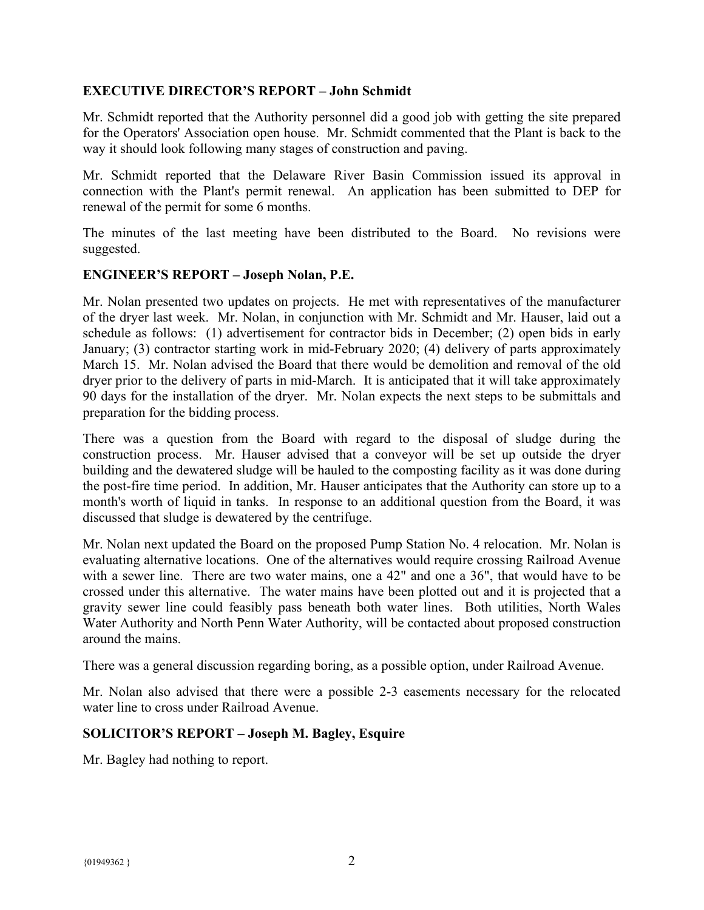## **EXECUTIVE DIRECTOR'S REPORT – John Schmidt**

Mr. Schmidt reported that the Authority personnel did a good job with getting the site prepared for the Operators' Association open house. Mr. Schmidt commented that the Plant is back to the way it should look following many stages of construction and paving.

Mr. Schmidt reported that the Delaware River Basin Commission issued its approval in connection with the Plant's permit renewal. An application has been submitted to DEP for renewal of the permit for some 6 months.

The minutes of the last meeting have been distributed to the Board. No revisions were suggested.

#### **ENGINEER'S REPORT – Joseph Nolan, P.E.**

Mr. Nolan presented two updates on projects. He met with representatives of the manufacturer of the dryer last week. Mr. Nolan, in conjunction with Mr. Schmidt and Mr. Hauser, laid out a schedule as follows: (1) advertisement for contractor bids in December; (2) open bids in early January; (3) contractor starting work in mid-February 2020; (4) delivery of parts approximately March 15. Mr. Nolan advised the Board that there would be demolition and removal of the old dryer prior to the delivery of parts in mid-March. It is anticipated that it will take approximately 90 days for the installation of the dryer. Mr. Nolan expects the next steps to be submittals and preparation for the bidding process.

There was a question from the Board with regard to the disposal of sludge during the construction process. Mr. Hauser advised that a conveyor will be set up outside the dryer building and the dewatered sludge will be hauled to the composting facility as it was done during the post-fire time period. In addition, Mr. Hauser anticipates that the Authority can store up to a month's worth of liquid in tanks. In response to an additional question from the Board, it was discussed that sludge is dewatered by the centrifuge.

Mr. Nolan next updated the Board on the proposed Pump Station No. 4 relocation. Mr. Nolan is evaluating alternative locations. One of the alternatives would require crossing Railroad Avenue with a sewer line. There are two water mains, one a 42" and one a 36", that would have to be crossed under this alternative. The water mains have been plotted out and it is projected that a gravity sewer line could feasibly pass beneath both water lines. Both utilities, North Wales Water Authority and North Penn Water Authority, will be contacted about proposed construction around the mains.

There was a general discussion regarding boring, as a possible option, under Railroad Avenue.

Mr. Nolan also advised that there were a possible 2-3 easements necessary for the relocated water line to cross under Railroad Avenue.

#### **SOLICITOR'S REPORT – Joseph M. Bagley, Esquire**

Mr. Bagley had nothing to report.